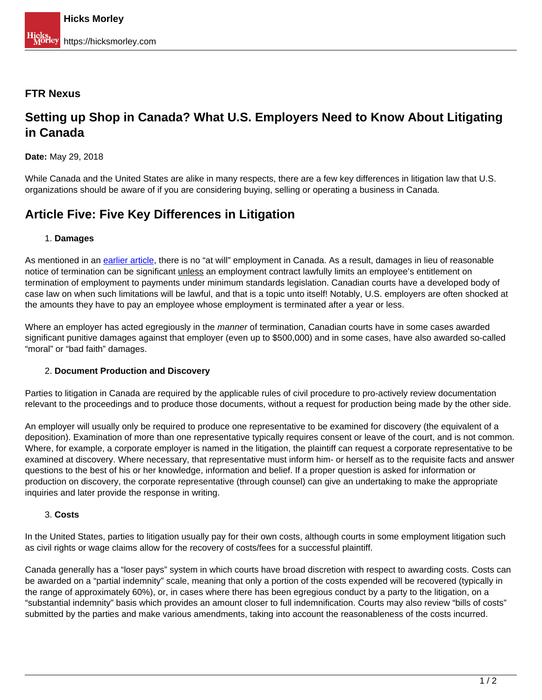### **FTR Nexus**

# **Setting up Shop in Canada? What U.S. Employers Need to Know About Litigating in Canada**

**Date:** May 29, 2018

While Canada and the United States are alike in many respects, there are a few key differences in litigation law that U.S. organizations should be aware of if you are considering buying, selling or operating a business in Canada.

# **Article Five: Five Key Differences in Litigation**

### 1. **Damages**

As mentioned in an [earlier article,](https://hicksmorley.com/2017/11/08/setting-up-shop-in-canada-what-u-s-employers-need-to-know-about-canadian-employment-law/) there is no "at will" employment in Canada. As a result, damages in lieu of reasonable notice of termination can be significant *unless* an employment contract lawfully limits an employee's entitlement on termination of employment to payments under minimum standards legislation. Canadian courts have a developed body of case law on when such limitations will be lawful, and that is a topic unto itself! Notably, U.S. employers are often shocked at the amounts they have to pay an employee whose employment is terminated after a year or less.

Where an employer has acted egregiously in the *manner* of termination, Canadian courts have in some cases awarded significant punitive damages against that employer (even up to \$500,000) and in some cases, have also awarded so-called "moral" or "bad faith" damages.

### 2. **Document Production and Discovery**

Parties to litigation in Canada are required by the applicable rules of civil procedure to pro-actively review documentation relevant to the proceedings and to produce those documents, without a request for production being made by the other side.

An employer will usually only be required to produce one representative to be examined for discovery (the equivalent of a deposition). Examination of more than one representative typically requires consent or leave of the court, and is not common. Where, for example, a corporate employer is named in the litigation, the plaintiff can request a corporate representative to be examined at discovery. Where necessary, that representative must inform him- or herself as to the requisite facts and answer questions to the best of his or her knowledge, information and belief. If a proper question is asked for information or production on discovery, the corporate representative (through counsel) can give an undertaking to make the appropriate inquiries and later provide the response in writing.

#### 3. **Costs**

In the United States, parties to litigation usually pay for their own costs, although courts in some employment litigation such as civil rights or wage claims allow for the recovery of costs/fees for a successful plaintiff.

Canada generally has a "loser pays" system in which courts have broad discretion with respect to awarding costs. Costs can be awarded on a "partial indemnity" scale, meaning that only a portion of the costs expended will be recovered (typically in the range of approximately 60%), or, in cases where there has been egregious conduct by a party to the litigation, on a "substantial indemnity" basis which provides an amount closer to full indemnification. Courts may also review "bills of costs" submitted by the parties and make various amendments, taking into account the reasonableness of the costs incurred.